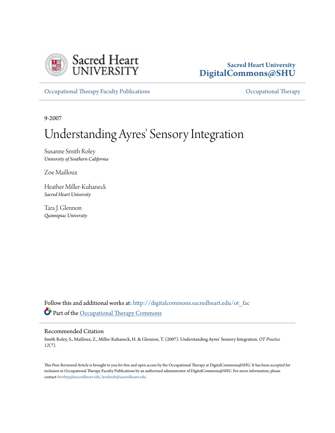

# **Sacred Heart University [DigitalCommons@SHU](http://digitalcommons.sacredheart.edu?utm_source=digitalcommons.sacredheart.edu%2Fot_fac%2F15&utm_medium=PDF&utm_campaign=PDFCoverPages)**

[Occupational Therapy Faculty Publications](http://digitalcommons.sacredheart.edu/ot_fac?utm_source=digitalcommons.sacredheart.edu%2Fot_fac%2F15&utm_medium=PDF&utm_campaign=PDFCoverPages) **[Occupational Therapy](http://digitalcommons.sacredheart.edu/ot?utm_source=digitalcommons.sacredheart.edu%2Fot_fac%2F15&utm_medium=PDF&utm_campaign=PDFCoverPages)** Occupational Therapy

9-2007

# Understanding Ayres' Sensory Integration

Susanne Smith Roley *University of Southern California*

Zoe Mailloux

Heather Miller-Kuhaneck *Sacred Heart University*

Tara J. Glennon *Quinnipiac University*

Follow this and additional works at: [http://digitalcommons.sacredheart.edu/ot\\_fac](http://digitalcommons.sacredheart.edu/ot_fac?utm_source=digitalcommons.sacredheart.edu%2Fot_fac%2F15&utm_medium=PDF&utm_campaign=PDFCoverPages) Part of the [Occupational Therapy Commons](http://network.bepress.com/hgg/discipline/752?utm_source=digitalcommons.sacredheart.edu%2Fot_fac%2F15&utm_medium=PDF&utm_campaign=PDFCoverPages)

#### Recommended Citation

Smith Roley, S., Mailloux, Z., Miller-Kuhaneck, H. & Glennon, T. (2007). Understanding Ayres' Sensory Integration. *OT Practice 12*(7).

This Peer-Reviewed Article is brought to you for free and open access by the Occupational Therapy at DigitalCommons@SHU. It has been accepted for inclusion in Occupational Therapy Faculty Publications by an authorized administrator of DigitalCommons@SHU. For more information, please contact [ferribyp@sacredheart.edu, lysobeyb@sacredheart.edu.](mailto:ferribyp@sacredheart.edu,%20lysobeyb@sacredheart.edu)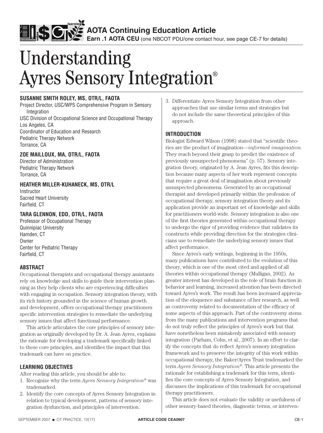**Earn .1 AOTA CEU** (one NBCOT PDU/one contact hour, see page CE-7 for details)

# Ayres Sensory Integration®

#### **Susanne Smith Roley, MS, OTR/L, FAOTA**

Project Director, USC/WPS Comprehensive Program in Sensory **Integration** USC Division of Occupational Science and Occupational Therapy

Los Angeles, CA Coordinator of Education and Research Pediatric Therapy Network Torrance, CA

#### **Zoe Mailloux, MA, OTR/L, FAOTA**

Director of Administration Pediatric Therapy Network Torrance, CA

#### **Heather Miller-Kuhaneck, MS, OTR/L**

Instructor Sacred Heart University Fairfield, CT

#### **Tara Glennon, EdD, OTR/L, FAOTA**

Professor of Occupational Therapy Quinnipiac University Hamden, CT **Owner** Center for Pediatric Therapy Fairfield, CT

#### **ABSTRACT**

Occupational therapists and occupational therapy assistants rely on knowledge and skills to guide their intervention planning as they help clients who are experiencing difficulties with engaging in occupation. Sensory integration theory, with its rich history grounded in the science of human growth and development, offers occupational therapy practitioners specific intervention strategies to remediate the underlying sensory issues that affect functional performance.

This article articulates the core principles of sensory integration as originally developed by Dr. A. Jean Ayres, explains the rationale for developing a trademark specifically linked to these core principles, and identifies the impact that this trademark can have on practice.

#### **LEARNING OBJECTIVES**

After reading this article, you should be able to:

- 1. Recognize why the term *Ayres Sensory Integration*® was trademarked.
- 2. Identify the core concepts of Ayres Sensory Integration in relation to typical development, patterns of sensory integration dysfunction, and principles of intervention.

3. Differentiate Ayres Sensory Integration from other approaches that use similar terms and strategies but do not include the same theoretical principles of this approach.

#### **INTRODUCTION**

Biologist Edward Wilson (1998) stated that "scientific theories are the product of imagination—*informed imagination.*  They reach beyond their grasp to predict the existence of previously unsuspected phenomena" (p. 57). Sensory integration theory, originated by A. Jean Ayres, fits this description because many aspects of her work represent concepts that require a great deal of imagination about previously unsuspected phenomena. Generated by an occupational therapist and developed primarily within the profession of occupational therapy, sensory integration theory and its application provide an important set of knowledge and skills for practitioners world-wide. Sensory integration is also one of the first theories generated within occupational therapy to undergo the rigor of providing evidence that validates its constructs while providing direction for the strategies clinicians use to remediate the underlying sensory issues that affect performance.

Since Ayres's early writings, beginning in the 1950s, many publications have contributed to the evolution of this theory, which is one of the most cited and applied of all theories within occupational therapy (Mulligan, 2002). As greater interest has developed in the role of brain function in behavior and learning, increased attention has been directed toward Ayres's work. The result has been increased appreciation of the eloquence and substance of her research, as well as controversy related to documentation of the efficacy of some aspects of this approach. Part of the controversy stems from the many publications and intervention programs that do not truly reflect the principles of Ayres's work but that have nonetheless been mistakenly associated with sensory integration (Parham, Cohn, et al., 2007). In an effort to clarify the concepts that do reflect Ayres's sensory integration framework and to preserve the integrity of this work within occupational therapy, the Baker/Ayres Trust trademarked the term *Ayres Sensory Integration*®. This article presents the rationale for establishing a trademark for this term, identifies the core concepts of Ayres Sensory Integration, and discusses the implications of this trademark for occupational therapy practitioners. **Understanding**<br> **Example 2018 Control in the summarize of the symbolic control in the symbolic control in the symbolic control in the symbolic control in the symbolic control in the symbolic control in the symbolic contr** 

This article does not evaluate the validity or usefulness of other sensory-based theories, diagnostic terms, or interven-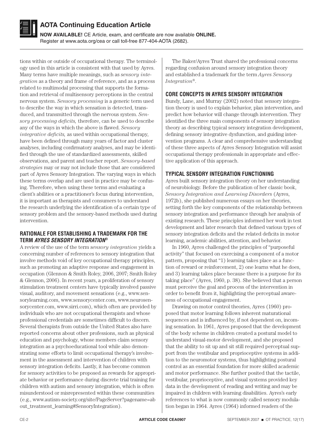

**NOW AVAILABLE!** CE Article, exam, and certificate are now available **ONLINE.** Register at www.aota.org/cea or call toll-free 877-404-AOTA (2682).

tions within or outside of occupational therapy. The terminology used in this article is consistent with that used by Ayres. Many terms have multiple meanings, such as *sensory integration* as a theory and frame of reference, and as a process related to multimodal processing that supports the formation and retrieval of multisensory perceptions in the central nervous system. *Sensory processing* is a generic term used to describe the way in which sensation is detected, transduced, and transmitted through the nervous system. *Sensory processing deficits,* therefore, can be used to describe any of the ways in which the above is flawed. *Sensory integrative deficits,* as used within occupational therapy, have been defined through many years of factor and cluster analyses, including confirmatory analyses, and may be identified through the use of standardized assessments, skilled observations, and parent and teacher report. *Sensory-based strategies* may or may not include those that are considered part of Ayres Sensory Integration. The varying ways in which these terms overlap and are used in practice may be confusing. Therefore, when using these terms and evaluating a client's abilities or a practitioner's focus during intervention, it is important as therapists and consumers to understand the research underlying the identification of a certain type of sensory problem and the sensory-based methods used during intervention.

#### **RATIONALE FOR ESTABLISHING A TRADEMARK FOR THE TERM** *AYRES SENSORY INTEGRATION***®**

A review of the use of the term *sensory integration* yields a concerning number of references to sensory integration that involve methods void of key occupational therapy principles, such as promoting an adaptive response and engagement in occupation (Glennon & Smith Roley, 2006, 2007; Smith Roley & Glennon, 2006). In recent years, a proliferation of sensory stimulation treatment centers have typically involved passive visual, auditory, and movement sensations (e.g., www.sensorylearning.com, www.sensorycenter.com, www.neurosensorycenter.com, www.sirri.com), which often are provided by individuals who are not occupational therapists and whose professional credentials are sometimes difficult to discern. Several therapists from outside the United States also have reported concerns about other professions, such as physical education and psychology, whose members claim sensory integration as a psychoeducational tool while also demonstrating some efforts to limit occupational therapy's involvement in the assessment and intervention of children with sensory integration deficits. Lastly, it has become common for sensory activities to be proposed as rewards for appropriate behavior or performance during discrete trial training for children with autism and sensory integration, which is often misunderstood or misrepresented within these communities (e.g., www.autism-society.org/site/PageServer?pagename=ab out\_treatment\_learning#SensoryIntegration).

The Baker/Ayres Trust shared the professional concerns regarding confusion around sensory integration theory and established a trademark for the term *Ayres Sensory Integration*®.

#### **CORE CONCEPTS IN AYRES SENSORY INTEGRATION**

Bundy, Lane, and Murray (2002) noted that sensory integration theory is used to explain behavior, plan intervention, and predict how behavior will change through intervention. They identified the three main components of sensory integration theory as describing typical sensory integration development, defining sensory integrative dysfunction, and guiding intervention programs. A clear and comprehensive understanding of these three aspects of Ayres Sensory Integration will assist occupational therapy professionals in appropriate and effective application of this approach.

#### **TYPICAL SENSORY INTEGRATION FUNCTIONING**

Ayres built sensory integration theory on her understanding of neurobiology. Before the publication of her classic book, *Sensory Integration and Learning Disorders* (Ayres, 1972b), she published numerous essays on her theories, setting forth the key components of the relationship between sensory integration and performance through her analysis of existing research. These principles informed her work in test development and later research that defined various types of sensory integration deficits and the related deficits in motor learning, academic abilities, attention, and behavior.

In 1960, Ayres challenged the principles of "purposeful activity" that focused on exercising a component of a motor pattern, proposing that "1) learning takes place as a function of reward or reinforcement, 2) one learns what he does, and 3) learning takes place because there is a purpose for its taking place" (Ayres, 1960, p. 38). She believed that a person must perceive the goal and process of the intervention in order to benefit from it, highlighting the perceptual awareness of occupational engagement.

Drawing on motor control theories, Ayres (1960) proposed that motor learning follows inherent maturational sequences and is influenced by, if not dependent on, incoming sensation. In 1961, Ayres proposed that the development of the body scheme in children created a postural model to understand visual-motor development, and she proposed that the ability to sit up and sit still required perceptual support from the vestibular and proprioceptive systems in addition to the neuromotor systems, thus highlighting postural control as an essential foundation for more skilled academic and motor performance. She further posited that the tactile, vestibular, proprioceptive, and visual systems provided key data in the development of reading and writing and may be impaired in children with learning disabilities. Ayres's early references to what is now commonly called sensory modulation began in 1964. Ayres (1964) informed readers of the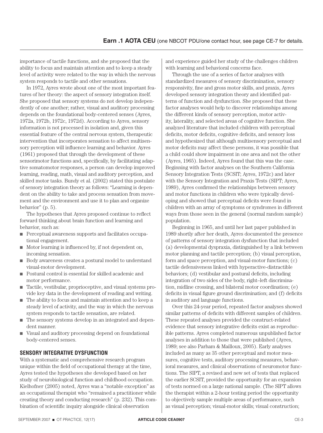importance of tactile functions, and she proposed that the ability to focus and maintain attention and to keep a steady level of activity were related to the way in which the nervous system responds to tactile and other sensations.

In 1972, Ayres wrote about one of the most important features of her theory: the aspect of sensory integration itself. She proposed that sensory systems do not develop independently of one another; rather, visual and auditory processing depends on the foundational body-centered senses (Ayres, 1972a, 1972b, 1972c, 1972d). According to Ayres, sensory information is not processed in isolation and, given this essential feature of the central nervous system, therapeutic intervention that incorporates sensation to affect multisensory perception will influence learning and behavior. Ayres (1961) proposed that through the development of these sensorimotor functions and, specifically, by facilitating adaptive somatomotor responses, a person can develop improved learning, reading, math, visual and auditory perception, and skilled motor tasks. Bundy et al. (2002) stated this postulate of sensory integration theory as follows: "Learning is dependent on the ability to take and process sensation from movement and the environment and use it to plan and organize behavior" (p. 5).

The hypotheses that Ayres proposed continue to reflect forward thinking about brain function and learning and behavior, such as:

- $\blacksquare$  Perceptual awareness supports and facilitates occupational engagement.
- $\blacksquare$  Motor learning is influenced by, if not dependent on, incoming sensation.
- n Body awareness creates a postural model to understand visual-motor development.
- n Postural control is essential for skilled academic and motor performance.
- Tactile, vestibular, proprioceptive, and visual systems provide key data in the development of reading and writing.
- $\blacksquare$  The ability to focus and maintain attention and to keep a steady level of activity, and the way in which the nervous system responds to tactile sensation, are related.
- $\blacksquare$  The sensory systems develop in an integrated and dependent manner.
- $\blacksquare$  Visual and auditory processing depend on foundational body-centered senses.

#### **SENSORY INTEGRATIVE DYSFUNCTION**

With a systematic and comprehensive research program unique within the field of occupational therapy at the time, Ayres tested the hypotheses she developed based on her study of neurobiological function and childhood occupation. Kielhofner (2005) noted, Ayres was a "notable exception" as an occupational therapist who "remained a practitioner while creating theory and conducting research" (p. 232). This combination of scientific inquiry alongside clinical observation

and experience guided her study of the challenges children with learning and behavioral concerns face.

Through the use of a series of factor analyses with standardized measures of sensory discrimination, sensory responsivity, fine and gross motor skills, and praxis, Ayres developed sensory integration theory and identified patterns of function and dysfunction. She proposed that these factor analyses would help to discover relationships among the different kinds of sensory perception, motor activity, laterality, and selected areas of cognitive function. She analyzed literature that included children with perceptual deficits, motor deficits, cognitive deficits, and sensory loss and hypothesized that although multisensory perceptual and motor deficits may affect these persons, it was possible that a child could show impairment in one area and not the other (Ayres, 1965). Indeed, Ayres found that this was the case. Beginning with factor analyses on the Southern California Sensory Integration Tests (SCSIT; Ayres, 1972c) and later with the Sensory Integration and Praxis Tests (SIPT; Ayres, 1989), Ayres confirmed the relationships between sensory and motor functions in children who were typically developing and showed that perceptual deficits were found in children with an array of symptoms or syndromes in different ways from those seen in the general (normal random sample) population.

Beginning in 1965, and until her last paper published in 1989 shortly after her death, Ayres documented the presence of patterns of sensory integration dysfunction that included (a) developmental dyspraxia, distinguished by a link between motor planning and tactile perception; (b) visual perception, form and space perception, and visual-motor functions; (c) tactile defensiveness linked with hyperactive-distractible behaviors; (d) vestibular and postural deficits, including integration of two sides of the body, right–left discrimination, midline crossing, and bilateral motor coordination; (e) deficits in visual figure ground discrimination; and (f) deficits in auditory and language functions.

Over this 24-year period, repeated factor analyses showed similar patterns of deficits with different samples of children. These repeated analyses provided the construct-related evidence that sensory integrative deficits exist as reproducible patterns. Ayres completed numerous unpublished factor analyses in addition to those that were published (Ayres, 1989; see also Parham & Mailloux, 2005). Early analyses included as many as 35 other perceptual and motor measures, cognitive tests, auditory processing measures, behavioral measures, and clinical observations of neuromotor functions. The SIPT, a revised and new set of tests that replaced the earlier SCSIT, provided the opportunity for an expansion of tests normed on a large national sample. (The SIPT allows the therapist within a 2-hour testing period the opportunity to objectively sample multiple areas of performance, such as visual perception; visual-motor skills; visual construction;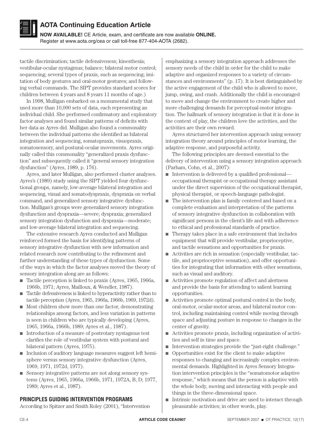

**NOW AVAILABLE!** CE Article, exam, and certificate are now available **ONLINE.** Register at www.aota.org/cea or call toll-free 877-404-AOTA (2682).

tactile discrimination; tactile defensiveness; kinesthesia; vestibular-ocular nystagmus; balance; bilateral motor control; sequencing; several types of praxis, such as sequencing; imitation of body gestures and oral-motor gestures; and following verbal commands. The SIPT provides standard scores for children between 4 years and 8 years 11 months of age.)

In 1998, Mulligan embarked on a monumental study that used more than 10,000 sets of data, each representing an individual child. She performed confirmatory and exploratory factor analyses and found similar patterns of deficits with her data as Ayres did. Mulligan also found a commonality between the individual patterns she identified as bilateral integration and sequencing, somatopraxis, visuopraxis, somatosensory, and postural-ocular movements. Ayres originally called this commonality "generalized praxis dysfunction" and subsequently called it "general sensory integration dysfunction" (Ayres, 1989, p. 176).

Ayres, and later Mulligan, also performed cluster analyses. Ayres's (1989) study using the SIPT yielded four dysfunctional groups, namely, low-average bilateral integration and sequencing, visual and somatodyspraxis, dyspraxia on verbal command, and generalized sensory integrative dysfunction. Mulligan's groups were generalized sensory integration dysfunction and dyspraxia—severe; dyspraxia; generalized sensory integration dysfunction and dyspraxia—moderate; and low-average bilateral integration and sequencing.

The extensive research Ayres conducted and Mulligan reinforced formed the basis for identifying patterns of sensory integrative dysfunction with new information and related research now contributing to the refinement and further understanding of these types of dysfunction. Some of the ways in which the factor analyses moved the theory of sensory integration along are as follows:

- Tactile perception is linked to praxis (Ayres, 1965, 1966a, 1966b, 1971; Ayres, Mailloux, & Wendler, 1987).
- n Tactile defensiveness is linked to hyperactivity rather than to tactile perception (Ayres, 1965, 1966a, 1966b, 1969, 1972d).
- $\blacksquare$  Most children show more than one factor, demonstrating relationships among factors, and less variation in patterns is seen in children who are typically developing (Ayres, 1965, 1966a, 1966b, 1989; Ayres et al., 1987).
- $\blacksquare$  Introduction of a measure of postrotary nystagmus test clarifies the role of vestibular system with postural and bilateral pattern (Ayres, 1975).
- n Inclusion of auditory language measures suggest left hemisphere versus sensory integrative dysfunction (Ayres, 1969, 1971, 1972d, 1977).
- $\blacksquare$  Sensory integrative patterns are not along sensory systems (Ayres, 1965, 1966a, 1966b, 1971, 1972A, B, D; 1977, 1989; Ayres et al., 1987).

#### **PRINCIPLES GUIDING INTERVENTION PROGRAMS**

According to Spitzer and Smith Roley (2001), "Intervention

emphasizing a sensory integration approach addresses the sensory needs of the child in order for the child to make adaptive and organized responses to a variety of circumstances and environments" (p. 17). It is best distinguished by the active engagement of the child who is allowed to move, jump, swing, and crash. Additionally the child is encouraged to move and change the environment to create higher and more challenging demands for perceptual-motor integration. The hallmark of sensory integration is that it is done in the context of play, the children love the activities, and the activities are their own reward.

Ayres structured her intervention approach using sensory integration theory around principles of motor learning, the adaptive response, and purposeful activity.

The following principles are deemed essential to the delivery of intervention using a sensory integration approach (Parham, Cohn, et al., 2007):

- $\blacksquare$  Intervention is delivered by a qualified professional occupational therapist or occupational therapy assistant under the direct supervision of the occupational therapist, physical therapist, or speech-language pathologist.
- $\blacksquare$  The intervention plan is family centered and based on a complete evaluation and interpretation of the patterns of sensory integrative dysfunction in collaboration with significant persons in the client's life and with adherence to ethical and professional standards of practice.
- $\blacksquare$  Therapy takes place in a safe environment that includes equipment that will provide vestibular, proprioceptive, and tactile sensations and opportunities for praxis.
- $\blacksquare$  Activities are rich in sensation (especially vestibular, tactile, and proprioceptive sensation), and offer opportunities for integrating that information with other sensations, such as visual and auditory.
- $\blacksquare$  Activities promote regulation of affect and alertness and provide the basis for attending to salient learning opportunities.
- $\blacksquare$  Activities promote optimal postural control in the body, oral-motor, ocular-motor areas, and bilateral motor control, including maintaining control while moving through space and adjusting posture in response to changes in the center of gravity.
- $\blacksquare$  Activities promote praxis, including organization of activities and self in time and space.
- n Intervention strategies provide the "just-right challenge."
- $\Box$  Opportunities exist for the client to make adaptive responses to changing and increasingly complex environmental demands. Highlighted in Ayres Sensory Integration intervention principles is the "somatomotor adaptive response," which means that the person is adaptive with the whole body, moving and interacting with people and things in the three-dimensional space.
- n Intrinsic motivation and drive are used to interact through pleasurable activities; in other words, play.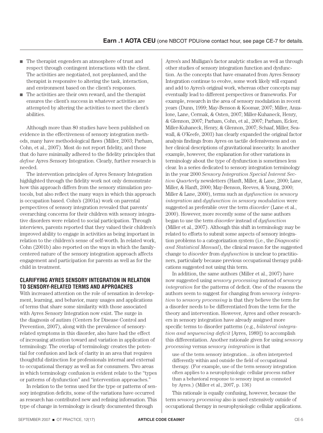- $\blacksquare$  The therapist engenders an atmosphere of trust and respect through contingent interactions with the client. The activities are negotiated, not preplanned, and the therapist is responsive to altering the task, interaction, and environment based on the client's responses.
- $\blacksquare$  The activities are their own reward, and the therapist ensures the client's success in whatever activities are attempted by altering the activities to meet the client's abilities.

Although more than 80 studies have been published on evidence in the effectiveness of sensory integration methods, many have methodological flaws (Miller, 2003; Parham, Cohn, et al., 2007). Most do not report fidelity, and those that do have minimally adhered to the fidelity principles that *define* Ayres Sensory Integration. Clearly, further research is needed.

The intervention principles of Ayres Sensory Integration highlighted through the fidelity work not only demonstrate how this approach differs from the sensory stimulation protocols, but also reflect the many ways in which this approach is occupation based. Cohn's (2001a) work on parental perspectives of sensory integration revealed that parents' overarching concerns for their children with sensory integrative disorders were related to social participation. Through interviews, parents reported that they valued their children's improved ability to engage in activities as being important in relation to the children's sense of self-worth. In related work, Cohn (2001b) also reported on the ways in which the familycentered nature of the sensory integration approach affects engagement and participation for parents as well as for the child in treatment.

#### **CLARIFYING AYRES SENSORY INTEGRATION IN RELATION TO SENSORY-RELATED TERMS AND APPROACHES**

With increased attention on the role of sensation in development, learning, and behavior, many usages and applications of terms that share some similarity with those associated with Ayres Sensory Integration now exist. The surge in the diagnosis of autism (Centers for Disease Control and Prevention, 2007), along with the prevalence of sensoryrelated symptoms in this disorder, also have had the effect of increasing attention toward and variation in application of terminology. The overlap of terminology creates the potential for confusion and lack of clarity in an area that requires thoughtful distinction for professionals internal and external to occupational therapy as well as for consumers. Two areas in which terminology confusion is evident relate to the "types or patterns of dysfunction" and "intervention approaches."

In relation to the terms used for the type or patterns of sensory integration deficits, some of the variations have occurred as research has contributed new and refining information. This type of change in terminology is clearly documented through

Ayres's and Mulligan's factor analytic studies as well as through other studies of sensory integration function and dysfunction. As the concepts that have emanated from Ayres Sensory Integration continue to evolve, some work likely will expand and add to Ayres's original work, whereas other concepts may eventually lead to different perspectives or frameworks. For example, research in the area of sensory modulation in recent years (Dunn, 1999; May-Benson & Koomar, 2007; Miller, Anzalone, Lane, Cermak, & Osten, 2007; Miller-Kuhaneck, Henry, & Glennon, 2007; Parham, Cohn, et al., 2007; Parham, Ecker, Miller-Kuhaneck, Henry, & Glennon, 2007; Schaaf, Miller, Seawall, & O'Keefe, 2003) has clearly expanded the original factor analysis findings from Ayres on tactile defensiveness and on her clinical descriptions of gravitational insecurity. In another example, however, the explanation for other variations in terminology about the type of dysfunction is sometimes less clear. In a series dedicated to sensory integration terminology in the year 2000 *Sensory Integration Special Interest Section Quarterly* newsletters (Hanft, Miller, & Lane, 2000; Lane, Miller, & Hanft, 2000; May-Benson, Reeves, & Young, 2000; Miller & Lane, 2000), terms such as *dysfunction in sensory integration* and *dysfunction in sensory modulation* were suggested as preferable over the term *disorder* (Lane et al., 2000). However, more recently some of the same authors began to use the term *disorder* instead of *dysfunction* (Miller et al., 2007). Although this shift in terminology may be related to efforts to submit some aspects of sensory integration problems to a categorization system (i.e., the *Diagnostic and Statistical Manual*), the clinical reason for the suggested change to *disorder* from *dysfunction* is unclear to practitioners, particularly because previous occupational therapy publications suggested not using this term.

In addition, the same authors (Miller et al., 2007) have now suggested using *sensory processing* instead of *sensory integration* for the patterns of deficit. One of the reasons the authors seem to suggest for changing from *sensory integration* to *sensory processing* is that they believe the term for a disorder needs to be differentiated from the term for the theory and intervention. However, Ayres and other researchers in sensory integration have already assigned more specific terms to disorder patterns (e.g., *bilateral integration and sequencing deficit* [Ayres, 1989]) to accomplish this differentiation. Another rationale given for using *sensory processing* versus *sensory integration* is that

use of the term sensory integration…is often interpreted differently within and outside the field of occupational therapy. (For example, use of the term sensory integration often applies to a neurophysiologic cellular process rather than a behavioral response to sensory input as connoted by Ayres.) (Miller et al., 2007, p. 136)

This rationale is equally confusing, however, because the term *sensory processing* also is used extensively outside of occupational therapy in neurophysiologic cellular applications.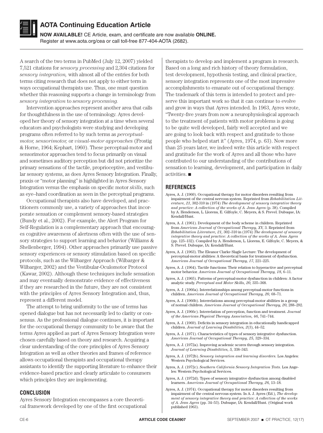

**NOW AVAILABLE!** CE Article, exam, and certificate are now available **ONLINE.** Register at www.aota.org/cea or call toll-free 877-404-AOTA (2682).

A search of the two terms in PubMed (July 12, 2007) yielded 7,521 citations for *sensory processing* and 2,304 citations for *sensory integration,* with almost all of the entries for both terms citing research that does not apply to either term in ways occupational therapists use. Thus, one must question whether this reasoning supports a change in terminology from *sensory integration* to *sensory processing.*

Intervention approaches represent another area that calls for thoughtfulness in the use of terminology. Ayres developed her theory of sensory integration at a time when several educators and psychologists were studying and developing programs often referred to by such terms as *perceptualmotor, sensorimotor,* or *visual-motor approaches* (Frostig & Horne, 1964; Kephart, 1960). These perceptual-motor and sensorimotor approaches tend to focus primarily on visual and sometimes auditory perception but did not prioritize the primary sensations of the tactile, proprioceptive, and vestibular sensory systems, as does Ayres Sensory Integration. Finally, praxis or "motor planning" is highlighted in Ayres Sensory Integration versus the emphasis on specific motor *skills*, such as eye–hand coordination as seen in the perceptual programs.

Occupational therapists also have developed, and practitioners commonly use, a variety of approaches that incorporate sensation or complement sensory-based strategies (Bundy et al., 2002). For example, the Alert Program for Self-Regulation is a complementary approach that encourages cognitive awareness of alertness often with the use of sensory strategies to support learning and behavior (Williams & Shellenberger, 1994). Other approaches primarily use passive sensory experiences or sensory stimulation based on specific protocols, such as the Wilbarger Approach (Wilbarger & Wilbarger, 2002) and the Vestibular-Oculomotor Protocol (Kawar, 2002). Although these techniques include sensation and may eventually demonstrate evidence of effectiveness if they are researched in the future, they are not consistent with the principles of Ayres Sensory Integration and, thus, represent a different model.

The attempt to bring uniformity to the use of terms has opened dialogue but has not necessarily led to clarity or consensus. As the professional dialogue continues, it is important for the occupational therapy community to be aware that the terms Ayres applied as part of Ayres Sensory Integration were chosen carefully based on theory and research. Acquiring a clear understanding of the core principles of Ayres Sensory Integration as well as other theories and frames of reference allows occupational therapists and occupational therapy assistants to identify the supporting literature to enhance their evidence-based practice and clearly articulate to consumers which principles they are implementing.

#### **CONCLUSION**

Ayres Sensory Integration encompasses a core theoretical framework developed by one of the first occupational

therapists to develop and implement a program in research. Based on a long and rich history of theory formulation, test development, hypothesis testing, and clinical practice, sensory integration represents one of the most impressive accomplishments to emanate out of occupational therapy. The trademark of this term is intended to protect and preserve this important work so that it can continue to evolve and grow in ways that Ayres intended. In 1963, Ayres wrote, "Twenty-five years from now a neurophysiological approach to the treatment of patients with motor problems is going to be quite well developed, fairly well accepted and we are going to look back with respect and gratitude to those people who helped start it" (Ayres, 1974, p. 63). Now more than 25 years later, we indeed write this article with respect and gratitude for the work of Ayres and all those who have contributed to our understanding of the contributions of sensation to learning, development, and participation in daily activities.  $\blacksquare$ 

#### **REFERENCES**

- Ayres, A. J. (1960). Occupational therapy for motor disorders resulting from impairment of the central nervous system. Reprinted from *Rehabilitation Literature, 21*, 302-310 in (1974) *The development of sensory integrative theory and practice: A collection of the works of A. Jean Ayres* (p. 38). Compiled by A. Henderson, L. Llorens, E. Gilfoyle, C. Meyers, & S. Prevel. Dubuque, IA: Kendall/Hunt.
- Ayres, A. J. (1961). Development of the body scheme in children. Reprinted from *American Journal of Occupational Therapy, XV,* 3. Reprinted from *Rehabilitation Literature, 21,* 302–310 in (1974) *The development of sensory integrative theory and practice: A collection of the works of A. Jean Ayres*  (pp. 125–132). Compiled by A. Henderson, L. Llorens, E. Gilfoyle, C. Meyers, & S. Prevel. Dubuque, IA: Kendall/Hunt.
- Ayres, A. J. (1963). The Eleanor Clarke Slagle Lecture: The development of perceptual-motor abilities: A theoretical basis for treatment of dysfunction. *American Journal of Occupational Therapy, 17,* 221–225.
- Ayres, A. J. (1964). Tactile functions: Their relation to hyperactive and perceptual motor behavior. *American Journal of Occupational Therapy, 18,* 6–11.
- Ayres, A. J. (1965). Patterns of perceptual-motor dysfunction in children: A factor analytic study. *Perceptual and Motor Skills, 20,* 335–368.
- Ayres, A. J. (1966a). Interrelationships among perceptual-motor functions in children. *American Journal of Occupational Therapy, 20,* 68–71.
- Ayres, A. J. (1966b). Interrelations among perceptual-motor abilities in a group of normal children. *American Journal of Occupational Therapy, 20,* 288–292.
- Ayres, A. J. (1966c). Interrelation of perception, function and treatment. *Journal of the American Physical Therapy Association, 46,* 741–744.
- Ayres, A. J. (1969). Deficits in sensory integration in educationally handicapped children. *Journal of Learning Disabilities, 2*(3), 44–52.
- Ayres, A. J. (1971). Characteristics of types of sensory integrative dysfunction. *American Journal of Occupational Therapy, 25,* 329–334.
- Ayres, A. J. (1972a). Improving academic scores through sensory integration. *Journal of Learning Disabilities, 5,* 338–343.
- Ayres, A. J. (1972b). *Sensory integration and learning disorders.* Los Angeles: Western Psychological Services.
- Ayres, A. J. (1972c). *Southern California Sensory Integration Tests.* Los Angeles: Western Psychological Services.
- Ayres, A. J. (1972d). Types of sensory integrative dysfunction among disabled learners. *American Journal of Occupational Therapy, 26,* 13–18.
- Ayres, A. J. (1974). Occupational therapy for motor disorders resulting from impairment of the central nervous system. In A. J. Ayres (Ed.), *The development of sensory integrative theory and practice: A collection of the works of A. Jean Ayres* (pp. 34–53). Dubuque, IA: Kendall/Hunt. (Original work published 1963).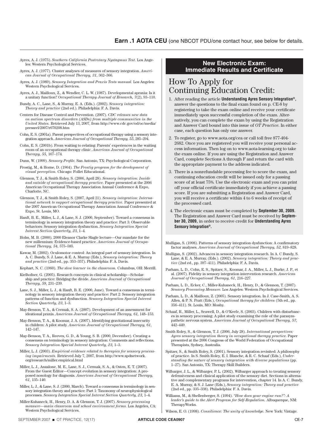- Ayres, A. J. (1975). *Southern California Postrotary Nystagmus Test.* Los Angeles: Western Psychological Services.
- Ayres, A. J. (1977). Cluster analyses of measures of sensory integration. *American Journal of Occupational Therapy, 31,* 362–366.
- Ayres, A. J. (1989). *Sensory Integration and Praxis Tests manual.* Los Angeles: Western Psychological Services.
- Ayres, A. J., Mailloux, Z., & Wendler, C. L. W. (1987). Developmental apraxia: Is it a unitary function? *Occupational Therapy Journal of Research, 7*(2), 93–110.
- Bundy, A. C., Lane, S., & Murray, E. A. (Eds.). (2002). *Sensory integration: Theory and practice* (2nd ed.). Philadelphia: F. A. Davis.
- Centers for Disease Control and Prevention. (2007). *CDC releases new data on autism spectrum disorders (ASDs) from multiple communities in the United States.* Retrieved July 13, 2007, from http://www.cdc.gov/od/oc/media/ pressrel/2007/r070208.htm
- Cohn, E. S. (2001a). Parent perspectives of occupational therapy using a sensory integration approach. *American Journal of Occupational Therapy, 55*, 285–294.
- Cohn, E. S. (2001b). From waiting to relating: Parents' experiences in the waiting room of an occupational therapy clinic. *American Journal of Occupational Therapy, 55,* 167–174.
- Dunn, W. (1999). *Sensory Profile.* San Antonio, TX: Psychological Corporation.
- Frostig, M., & Horne, D. (1964). *The Frostig program for the development of visual perception.* Chicago: Follet Educational.
- Glennon, T. J., & Smith Roley, S. (2006, April 28). *Sensory integration: Inside and outside of occupational therapy practice.* Paper presented at the 2006 American Occupational Therapy Association Annual Conference & Expo, Charlotte, NC.
- Glennon, T. J., & Smith Roley, S. (2007, April 21). *Sensory integration: International network to support occupational therapy practice.* Paper presented at the 2007 American Occupational Therapy Association Annual Conference & Expo, St. Louis, MO.
- Hanft, B. E., Miller, L. J., & Lane, S. J. (2000, September). Toward a consensus in terminology in sensory integration theory and practice: Part 3: Observable behaviors: Sensory integration dysfunction. *Sensory Integration Special Interest Section Quarterly, 23,* 1–4.
- Holm, M. B. (2000). 2000 Eleanor Clarke Slagle lecture—Our mandate for the new millennium: Evidence-based practice. *American Journal of Occupational Therapy, 54,* 575–585.
- Kawar, M. (2002). Oculomotor control: An integral part of sensory integration. In A. C. Bundy, S. J. Lane, & E. A. Murray (Eds.), *Sensory integration: Theory and practice* (2nd ed., pp. 353–357). Philadelphia: F. A. Davis.
- Kephart, N. C. (1960). *The slow learner in the classroom.* Columbus, OH: Merrill.
- Kielhofner, G. (2005). Research concepts in clinical scholarship—Scholarship and practice: Bridging the divide. *American Journal of Occupational Therapy, 59,* 231–239.
- Lane, S. J., Miller, L. J., & Hanft, B. E. (2000, June). Toward a consensus in terminology in sensory integration theory and practice: Part 2: Sensory integration patterns of function and dysfunction. *Sensory Integration Special Interest Section Quarterly, 23*, 1–3.
- May-Benson, T. A., & Cermak, S. A. (2007). Development of an assessment for ideational praxis. *American Journal of Occupational Therapy, 61,* 148–153.
- May-Benson, T. A., & Koomar, J. A. (2007). Identifying gravitational insecurity in children: A pilot study. *American Journal of Occupational Therapy, 61,*  142–147.
- May-Benson, T. A., Reeves, G. D., & Young, S. B. (2000, December). Creating a consensus on terminology in sensory integration: Comments and reflections. *Sensory Integration Special Interest Quarterly, 23,* 1–3.
- Miller, L. J. (2003). *Empirical evidence related to therapies for sensory processing impairments.* Retrieved July 7, 2007, from http://www.spdnetwork. org/research/miller.empirical.html
- Miller, L. J., Anzalone, M. E., Lane, S. J., Cermak, S. A., & Osten, E. T. (2007). From the Guest Editor—Concept evolution in sensory integration: A proposed nosology for diagnosis. *American Journal of Occupational Therapy, 61,* 135–140.
- Miller, L. J., & Lane, S. J. (2000, March). Toward a consensus in terminology in sensory integration theory and practice: Part 1: Taxonomy of neurophysiological processes. *Sensory Integration Special Interest Section Quarterly, 23,* 1–4.
- Miller-Kuhaneck, H., Henry, D. A. & Glennon, T. J. (2007). *Sensory processing measure—main classroom and school environment forms.* Los Angeles, CA: Western Psychological Services.

#### **New Electronic Exam: Immediate Results and Certificate**

# How To Apply for Continuing Education Credit:

- 1. After reading the article **Understanding Ayres Sensory Integration®,**  answer the questions to the final exam found on p. CE-8 by registering to take the exam online and receive your certificate immediately upon successful completion of the exam. Alternatively, you can complete the exam by using the Registration and Answer Card bound into this issue of *OT Practice*. In either case, each question has only one answer.
- 2. To register, go to www.aota.org/cea or call toll free 877-404- 2682. Once you are registered you will receive your personal access information. Then log on to www.aota-learning.org to take the exam online. If you are using the Registration and Answer Card, complete Sections A through F and return the card with the appropriate payment to the address indicated.
- 3. There is a nonrefundable processing fee to score the exam, and continuing education credit will be issued only for a passing score of at least 75%. Use the electronic exam and you can print off your official certificate immediately if you achieve a passing score. If you are submitting a Registration and Answer Card, you will receive a certificate within 4 to 6 weeks of receipt of the processed card.
- 4. The electronic exam must be completed by **September 30, 2009.** The Registration and Answer Card must be received by **September 30, 2009,** in order to receive credit for **Understanding Ayres Sensory Integration®.**
- Mulligan, S. (1998). Patterns of sensory integration dysfunction: A confirmatory factor analyses. *American Journal of Occupational Therapy, 52,* 819–828.
- Mulligan, S. (2002). Advances in sensory integration research. In A. C Bundy, S. Lane, & E. A. Murray, (Eds.). (2002). *Sensory integration: Theory and practice* (2nd ed., pp. 397–411). Philadelphia: F. A. Davis.
- Parham, L. D., Cohn, E. S., Spitzer, S., Koomar, J. A., Miller, L. J., Burke, J. P., et al. (2007). Fidelity in sensory integration intervention research. *American Journal of Occupational Therapy, 61,* 216–227.
- Parham, L. D., Ecker, C., Miller-Kuhaneck, H., Henry, D., & Glennon, T. (2007). *Sensory Processing Measure.* Los Angeles: Western Psychological Services.
- Parham, L. D., & Mailloux, Z. (2005). Sensory integration. In J. Case-Smith, A. S. Allen, & P. N. Pratt (Eds.), *Occupational therapy for children* (5th ed., pp. 356–411). St. Louis, MO: Mosby.
- Schaaf, R., Miller, L., Seawell, D., & O'Keefe, S. (2003). Children with disturbances in sensory processing: A pilot study examining the role of the parasympathetic nervous system. *American Journal of Occupational Therapy, 57,*  442–449.
- Smith Roley, S., & Glennon, T. J. (2006, July 28). *International perspectives: Ayres sensory integration theory in occupational therapy practice*. Paper presented at the 2006 Congress of the World Federation of Occupational Therapists, Sydney, Australia.
- Spitzer, S., & Smith Roley, S. (2001). Sensory integration revisited: A philosophy of practice. In S. Smith Roley, E. I. Blanche, & R. C. Schaaf (Eds.), *Understanding the nature of sensory integration with diverse populations* (pp. 1–27). San Antonio, TX: Therapy Skill Builders.
- Wilbarger, J. L., & Wilbarger, P. L. (2002). Wilbarger approach to treating sensory defensiveness and clinical application of the sensory diet. Sections in alternative and complementary programs for intervention, chapter 14. In A. C. Bundy, E. A. Murray, & S. J. Lane (Eds.), *Sensory integration: Theory and practice*  (2nd ed., pp. 335–338). Philadelphia: F. A. Davis.
- Williams, M., & Shellenberger, S. (1994). *"How does your engine run?": A leader's guide to the Alert Program for Self-Regulation.* Albuquerque, NM: TherapyWorks.
- Wilson, E. O. (1998). *Consilience: The unity of knowledge.* New York: Vintage.